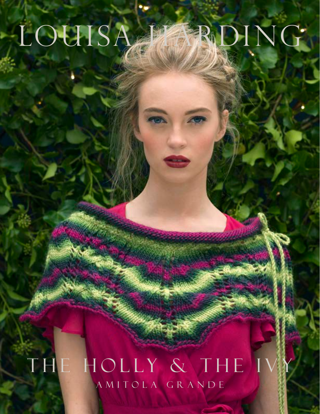# LOUISA HARDING

## A M I T O L A G R A N D E THE HOLLY & THE I